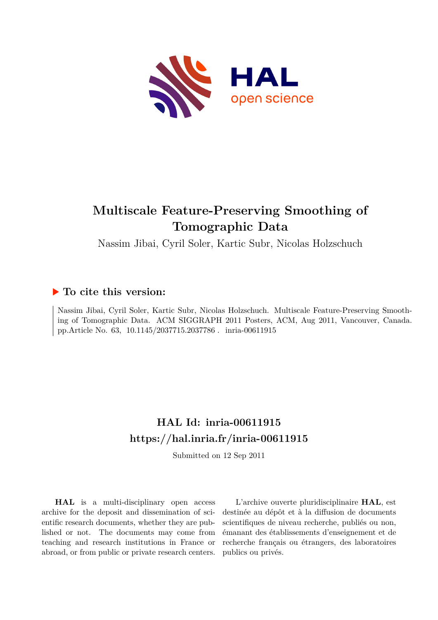

# **Multiscale Feature-Preserving Smoothing of Tomographic Data**

Nassim Jibai, Cyril Soler, Kartic Subr, Nicolas Holzschuch

## **To cite this version:**

Nassim Jibai, Cyril Soler, Kartic Subr, Nicolas Holzschuch. Multiscale Feature-Preserving Smoothing of Tomographic Data. ACM SIGGRAPH 2011 Posters, ACM, Aug 2011, Vancouver, Canada. pp.Article No. 63, 10.1145/2037715.2037786. inria-00611915

## **HAL Id: inria-00611915 <https://hal.inria.fr/inria-00611915>**

Submitted on 12 Sep 2011

**HAL** is a multi-disciplinary open access archive for the deposit and dissemination of scientific research documents, whether they are published or not. The documents may come from teaching and research institutions in France or abroad, or from public or private research centers.

L'archive ouverte pluridisciplinaire **HAL**, est destinée au dépôt et à la diffusion de documents scientifiques de niveau recherche, publiés ou non, émanant des établissements d'enseignement et de recherche français ou étrangers, des laboratoires publics ou privés.